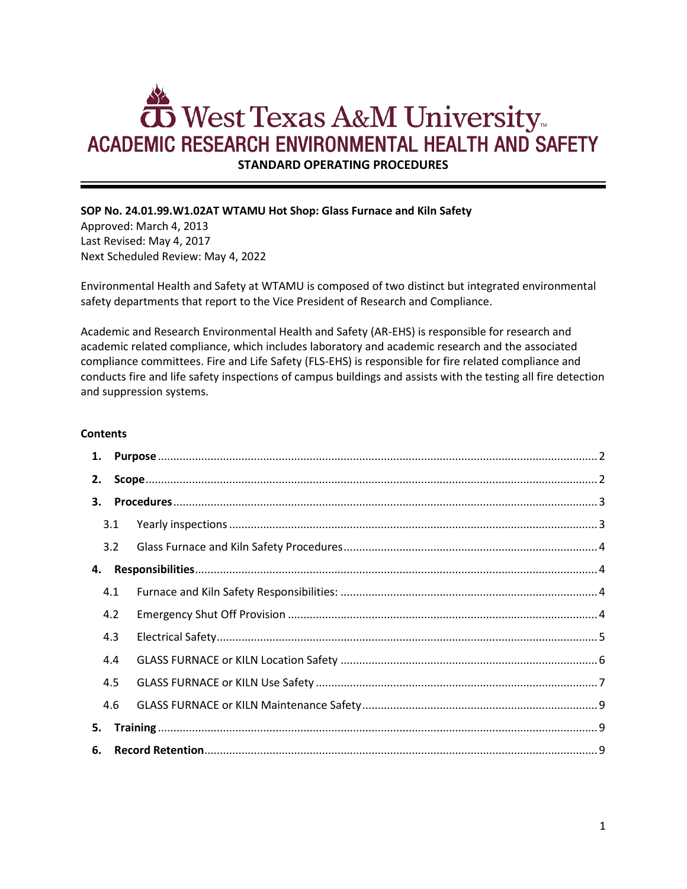# **To West Texas A&M University ACADEMIC RESEARCH ENVIRONMENTAL HEALTH AND SAFETY**

**STANDARD OPERATING PROCEDURES**

## **SOP No. 24.01.99.W1.02AT WTAMU Hot Shop: Glass Furnace and Kiln Safety**

Approved: March 4, 2013 Last Revised: May 4, 2017 Next Scheduled Review: May 4, 2022

Environmental Health and Safety at WTAMU is composed of two distinct but integrated environmental safety departments that report to the Vice President of Research and Compliance.

Academic and Research Environmental Health and Safety (AR-EHS) is responsible for research and academic related compliance, which includes laboratory and academic research and the associated compliance committees. Fire and Life Safety (FLS-EHS) is responsible for fire related compliance and conducts fire and life safety inspections of campus buildings and assists with the testing all fire detection and suppression systems.

#### **Contents**

| 1. |     |  |
|----|-----|--|
| 2. |     |  |
| 3. |     |  |
|    | 3.1 |  |
|    | 3.2 |  |
| 4. |     |  |
|    | 4.1 |  |
|    | 4.2 |  |
|    | 4.3 |  |
|    | 4.4 |  |
|    | 4.5 |  |
|    | 4.6 |  |
| 5. |     |  |
| 6. |     |  |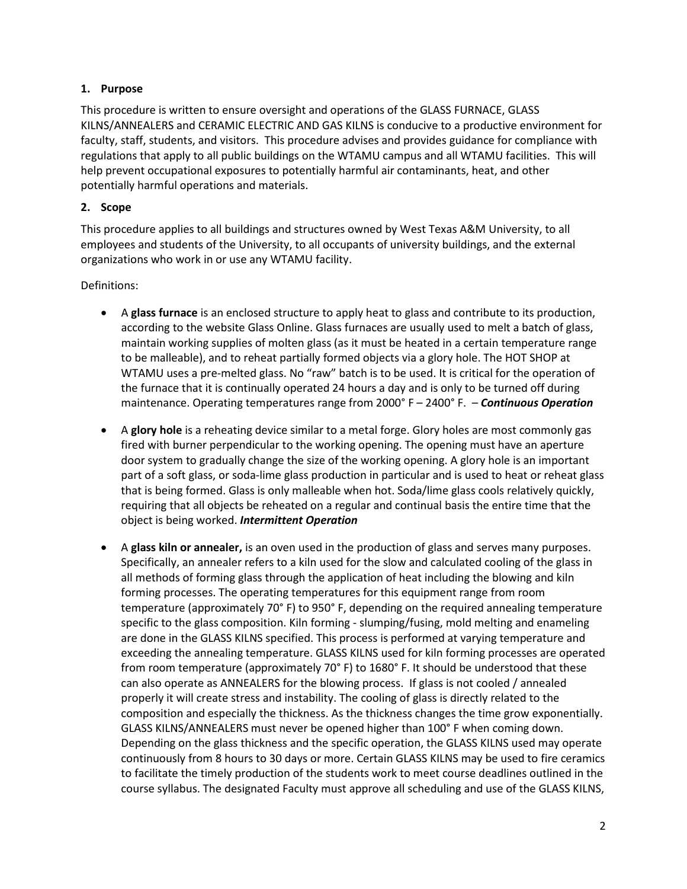## <span id="page-1-0"></span>**1. Purpose**

This procedure is written to ensure oversight and operations of the GLASS FURNACE, GLASS KILNS/ANNEALERS and CERAMIC ELECTRIC AND GAS KILNS is conducive to a productive environment for faculty, staff, students, and visitors. This procedure advises and provides guidance for compliance with regulations that apply to all public buildings on the WTAMU campus and all WTAMU facilities. This will help prevent occupational exposures to potentially harmful air contaminants, heat, and other potentially harmful operations and materials.

## <span id="page-1-1"></span>**2. Scope**

This procedure applies to all buildings and structures owned by West Texas A&M University, to all employees and students of the University, to all occupants of university buildings, and the external organizations who work in or use any WTAMU facility.

## Definitions:

- A **glass furnace** is an enclosed structure to apply heat to glass and contribute to its production, according to the website Glass Online. Glass furnaces are usually used to melt a batch of glass, maintain working supplies of molten glass (as it must be heated in a certain temperature range to be malleable), and to reheat partially formed objects via a glory hole. The HOT SHOP at WTAMU uses a pre-melted glass. No "raw" batch is to be used. It is critical for the operation of the furnace that it is continually operated 24 hours a day and is only to be turned off during maintenance. Operating temperatures range from 2000° F – 2400° F. – *Continuous Operation*
- A **glory hole** is a reheating device similar to a metal forge. Glory holes are most commonly gas fired with burner perpendicular to the working opening. The opening must have an aperture door system to gradually change the size of the working opening. A glory hole is an important part of a soft glass, or soda-lime glass production in particular and is used to heat or reheat glass that is being formed. Glass is only malleable when hot. Soda/lime glass cools relatively quickly, requiring that all objects be reheated on a regular and continual basis the entire time that the object is being worked. *Intermittent Operation*
- A **glass kiln or annealer,** is an oven used in the production of glass and serves many purposes. Specifically, an annealer refers to a kiln used for the slow and calculated cooling of the glass in all methods of forming glass through the application of heat including the blowing and kiln forming processes. The operating temperatures for this equipment range from room temperature (approximately 70° F) to 950° F, depending on the required annealing temperature specific to the glass composition. Kiln forming - slumping/fusing, mold melting and enameling are done in the GLASS KILNS specified. This process is performed at varying temperature and exceeding the annealing temperature. GLASS KILNS used for kiln forming processes are operated from room temperature (approximately 70° F) to 1680° F. It should be understood that these can also operate as ANNEALERS for the blowing process. If glass is not cooled / annealed properly it will create stress and instability. The cooling of glass is directly related to the composition and especially the thickness. As the thickness changes the time grow exponentially. GLASS KILNS/ANNEALERS must never be opened higher than 100° F when coming down. Depending on the glass thickness and the specific operation, the GLASS KILNS used may operate continuously from 8 hours to 30 days or more. Certain GLASS KILNS may be used to fire ceramics to facilitate the timely production of the students work to meet course deadlines outlined in the course syllabus. The designated Faculty must approve all scheduling and use of the GLASS KILNS,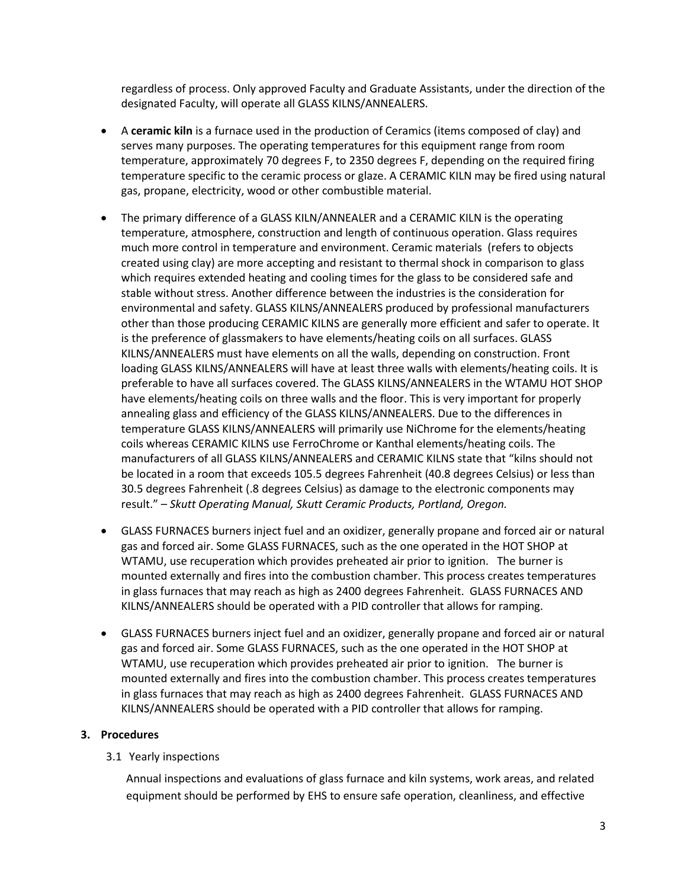regardless of process. Only approved Faculty and Graduate Assistants, under the direction of the designated Faculty, will operate all GLASS KILNS/ANNEALERS.

- A **ceramic kiln** is a furnace used in the production of Ceramics (items composed of clay) and serves many purposes. The operating temperatures for this equipment range from room temperature, approximately 70 degrees F, to 2350 degrees F, depending on the required firing temperature specific to the ceramic process or glaze. A CERAMIC KILN may be fired using natural gas, propane, electricity, wood or other combustible material.
- The primary difference of a GLASS KILN/ANNEALER and a CERAMIC KILN is the operating temperature, atmosphere, construction and length of continuous operation. Glass requires much more control in temperature and environment. Ceramic materials (refers to objects created using clay) are more accepting and resistant to thermal shock in comparison to glass which requires extended heating and cooling times for the glass to be considered safe and stable without stress. Another difference between the industries is the consideration for environmental and safety. GLASS KILNS/ANNEALERS produced by professional manufacturers other than those producing CERAMIC KILNS are generally more efficient and safer to operate. It is the preference of glassmakers to have elements/heating coils on all surfaces. GLASS KILNS/ANNEALERS must have elements on all the walls, depending on construction. Front loading GLASS KILNS/ANNEALERS will have at least three walls with elements/heating coils. It is preferable to have all surfaces covered. The GLASS KILNS/ANNEALERS in the WTAMU HOT SHOP have elements/heating coils on three walls and the floor. This is very important for properly annealing glass and efficiency of the GLASS KILNS/ANNEALERS. Due to the differences in temperature GLASS KILNS/ANNEALERS will primarily use NiChrome for the elements/heating coils whereas CERAMIC KILNS use FerroChrome or Kanthal elements/heating coils. The manufacturers of all GLASS KILNS/ANNEALERS and CERAMIC KILNS state that "kilns should not be located in a room that exceeds 105.5 degrees Fahrenheit (40.8 degrees Celsius) or less than 30.5 degrees Fahrenheit (.8 degrees Celsius) as damage to the electronic components may result." – *Skutt Operating Manual, Skutt Ceramic Products, Portland, Oregon.*
- GLASS FURNACES burners inject fuel and an oxidizer, generally propane and forced air or natural gas and forced air. Some GLASS FURNACES, such as the one operated in the HOT SHOP at WTAMU, use recuperation which provides preheated air prior to ignition. The burner is mounted externally and fires into the combustion chamber. This process creates temperatures in glass furnaces that may reach as high as 2400 degrees Fahrenheit. GLASS FURNACES AND KILNS/ANNEALERS should be operated with a PID controller that allows for ramping.
- GLASS FURNACES burners inject fuel and an oxidizer, generally propane and forced air or natural gas and forced air. Some GLASS FURNACES, such as the one operated in the HOT SHOP at WTAMU, use recuperation which provides preheated air prior to ignition. The burner is mounted externally and fires into the combustion chamber. This process creates temperatures in glass furnaces that may reach as high as 2400 degrees Fahrenheit. GLASS FURNACES AND KILNS/ANNEALERS should be operated with a PID controller that allows for ramping.

#### <span id="page-2-0"></span>**3. Procedures**

#### <span id="page-2-1"></span>3.1 Yearly inspections

Annual inspections and evaluations of glass furnace and kiln systems, work areas, and related equipment should be performed by EHS to ensure safe operation, cleanliness, and effective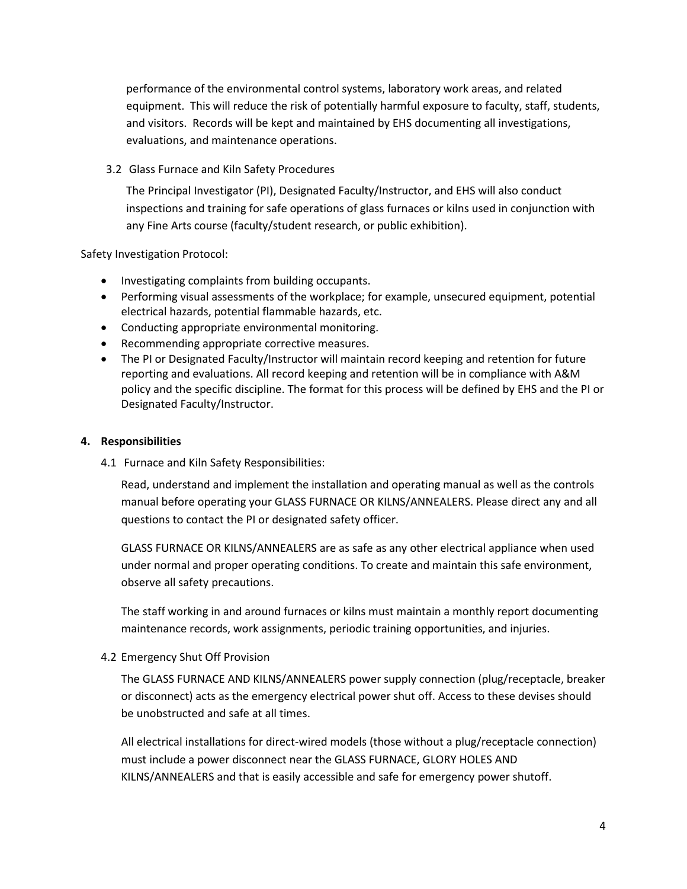performance of the environmental control systems, laboratory work areas, and related equipment. This will reduce the risk of potentially harmful exposure to faculty, staff, students, and visitors. Records will be kept and maintained by EHS documenting all investigations, evaluations, and maintenance operations.

<span id="page-3-0"></span>3.2 Glass Furnace and Kiln Safety Procedures

The Principal Investigator (PI), Designated Faculty/Instructor, and EHS will also conduct inspections and training for safe operations of glass furnaces or kilns used in conjunction with any Fine Arts course (faculty/student research, or public exhibition).

Safety Investigation Protocol:

- Investigating complaints from building occupants.
- Performing visual assessments of the workplace; for example, unsecured equipment, potential electrical hazards, potential flammable hazards, etc.
- Conducting appropriate environmental monitoring.
- Recommending appropriate corrective measures.
- The PI or Designated Faculty/Instructor will maintain record keeping and retention for future reporting and evaluations. All record keeping and retention will be in compliance with A&M policy and the specific discipline. The format for this process will be defined by EHS and the PI or Designated Faculty/Instructor.

### <span id="page-3-1"></span>**4. Responsibilities**

<span id="page-3-2"></span>4.1 Furnace and Kiln Safety Responsibilities:

Read, understand and implement the installation and operating manual as well as the controls manual before operating your GLASS FURNACE OR KILNS/ANNEALERS. Please direct any and all questions to contact the PI or designated safety officer.

GLASS FURNACE OR KILNS/ANNEALERS are as safe as any other electrical appliance when used under normal and proper operating conditions. To create and maintain this safe environment, observe all safety precautions.

The staff working in and around furnaces or kilns must maintain a monthly report documenting maintenance records, work assignments, periodic training opportunities, and injuries.

#### <span id="page-3-3"></span>4.2 Emergency Shut Off Provision

The GLASS FURNACE AND KILNS/ANNEALERS power supply connection (plug/receptacle, breaker or disconnect) acts as the emergency electrical power shut off. Access to these devises should be unobstructed and safe at all times.

All electrical installations for direct-wired models (those without a plug/receptacle connection) must include a power disconnect near the GLASS FURNACE, GLORY HOLES AND KILNS/ANNEALERS and that is easily accessible and safe for emergency power shutoff.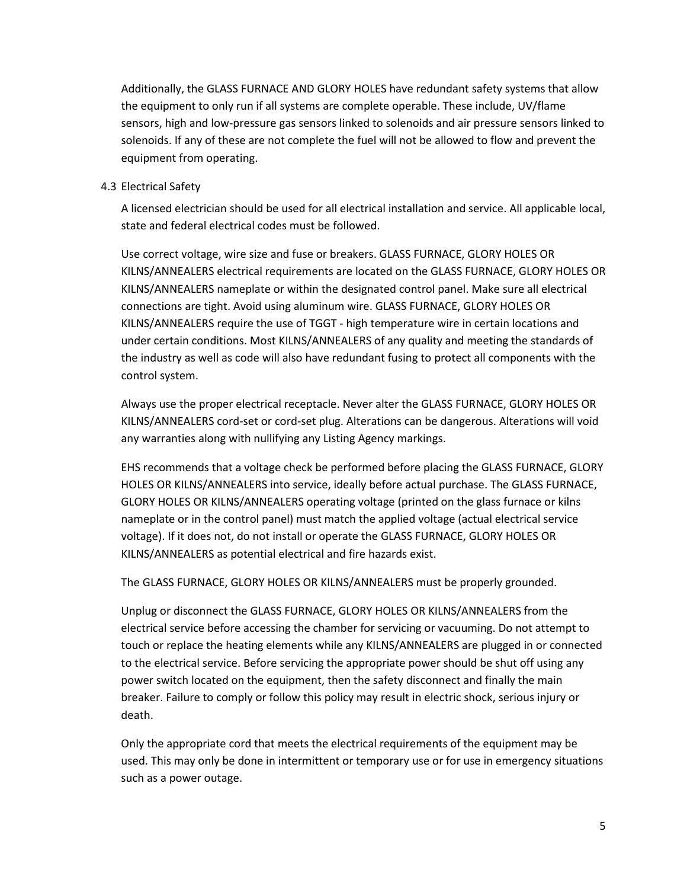Additionally, the GLASS FURNACE AND GLORY HOLES have redundant safety systems that allow the equipment to only run if all systems are complete operable. These include, UV/flame sensors, high and low-pressure gas sensors linked to solenoids and air pressure sensors linked to solenoids. If any of these are not complete the fuel will not be allowed to flow and prevent the equipment from operating.

#### <span id="page-4-0"></span>4.3 Electrical Safety

A licensed electrician should be used for all electrical installation and service. All applicable local, state and federal electrical codes must be followed.

Use correct voltage, wire size and fuse or breakers. GLASS FURNACE, GLORY HOLES OR KILNS/ANNEALERS electrical requirements are located on the GLASS FURNACE, GLORY HOLES OR KILNS/ANNEALERS nameplate or within the designated control panel. Make sure all electrical connections are tight. Avoid using aluminum wire. GLASS FURNACE, GLORY HOLES OR KILNS/ANNEALERS require the use of TGGT - high temperature wire in certain locations and under certain conditions. Most KILNS/ANNEALERS of any quality and meeting the standards of the industry as well as code will also have redundant fusing to protect all components with the control system.

Always use the proper electrical receptacle. Never alter the GLASS FURNACE, GLORY HOLES OR KILNS/ANNEALERS cord-set or cord-set plug. Alterations can be dangerous. Alterations will void any warranties along with nullifying any Listing Agency markings.

EHS recommends that a voltage check be performed before placing the GLASS FURNACE, GLORY HOLES OR KILNS/ANNEALERS into service, ideally before actual purchase. The GLASS FURNACE, GLORY HOLES OR KILNS/ANNEALERS operating voltage (printed on the glass furnace or kilns nameplate or in the control panel) must match the applied voltage (actual electrical service voltage). If it does not, do not install or operate the GLASS FURNACE, GLORY HOLES OR KILNS/ANNEALERS as potential electrical and fire hazards exist.

The GLASS FURNACE, GLORY HOLES OR KILNS/ANNEALERS must be properly grounded.

Unplug or disconnect the GLASS FURNACE, GLORY HOLES OR KILNS/ANNEALERS from the electrical service before accessing the chamber for servicing or vacuuming. Do not attempt to touch or replace the heating elements while any KILNS/ANNEALERS are plugged in or connected to the electrical service. Before servicing the appropriate power should be shut off using any power switch located on the equipment, then the safety disconnect and finally the main breaker. Failure to comply or follow this policy may result in electric shock, serious injury or death.

Only the appropriate cord that meets the electrical requirements of the equipment may be used. This may only be done in intermittent or temporary use or for use in emergency situations such as a power outage.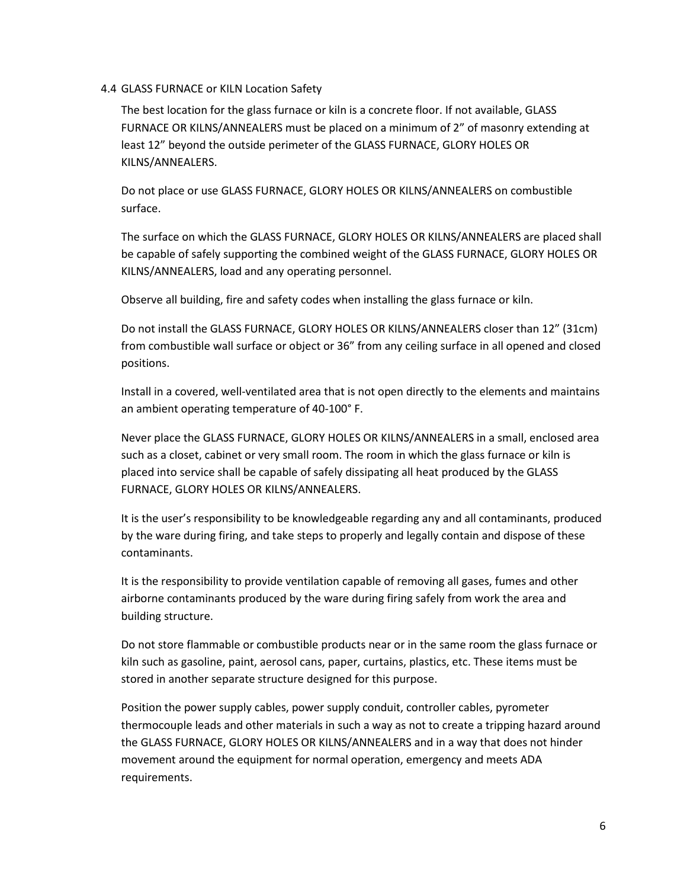#### <span id="page-5-0"></span>4.4 GLASS FURNACE or KILN Location Safety

The best location for the glass furnace or kiln is a concrete floor. If not available, GLASS FURNACE OR KILNS/ANNEALERS must be placed on a minimum of 2" of masonry extending at least 12" beyond the outside perimeter of the GLASS FURNACE, GLORY HOLES OR KILNS/ANNEALERS.

Do not place or use GLASS FURNACE, GLORY HOLES OR KILNS/ANNEALERS on combustible surface.

The surface on which the GLASS FURNACE, GLORY HOLES OR KILNS/ANNEALERS are placed shall be capable of safely supporting the combined weight of the GLASS FURNACE, GLORY HOLES OR KILNS/ANNEALERS, load and any operating personnel.

Observe all building, fire and safety codes when installing the glass furnace or kiln.

Do not install the GLASS FURNACE, GLORY HOLES OR KILNS/ANNEALERS closer than 12" (31cm) from combustible wall surface or object or 36" from any ceiling surface in all opened and closed positions.

Install in a covered, well-ventilated area that is not open directly to the elements and maintains an ambient operating temperature of 40-100° F.

Never place the GLASS FURNACE, GLORY HOLES OR KILNS/ANNEALERS in a small, enclosed area such as a closet, cabinet or very small room. The room in which the glass furnace or kiln is placed into service shall be capable of safely dissipating all heat produced by the GLASS FURNACE, GLORY HOLES OR KILNS/ANNEALERS.

It is the user's responsibility to be knowledgeable regarding any and all contaminants, produced by the ware during firing, and take steps to properly and legally contain and dispose of these contaminants.

It is the responsibility to provide ventilation capable of removing all gases, fumes and other airborne contaminants produced by the ware during firing safely from work the area and building structure.

Do not store flammable or combustible products near or in the same room the glass furnace or kiln such as gasoline, paint, aerosol cans, paper, curtains, plastics, etc. These items must be stored in another separate structure designed for this purpose.

Position the power supply cables, power supply conduit, controller cables, pyrometer thermocouple leads and other materials in such a way as not to create a tripping hazard around the GLASS FURNACE, GLORY HOLES OR KILNS/ANNEALERS and in a way that does not hinder movement around the equipment for normal operation, emergency and meets ADA requirements.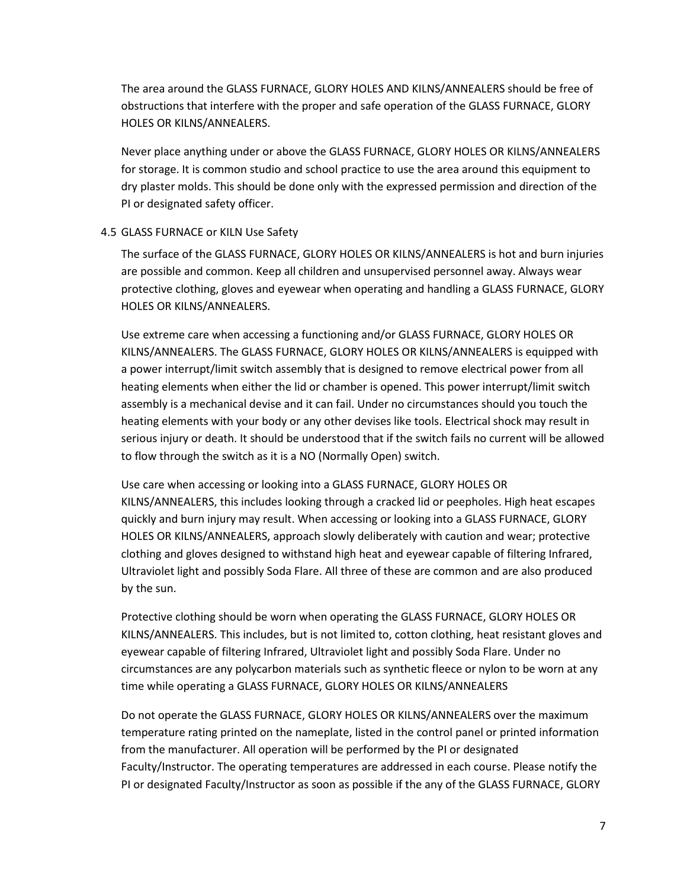The area around the GLASS FURNACE, GLORY HOLES AND KILNS/ANNEALERS should be free of obstructions that interfere with the proper and safe operation of the GLASS FURNACE, GLORY HOLES OR KILNS/ANNEALERS.

Never place anything under or above the GLASS FURNACE, GLORY HOLES OR KILNS/ANNEALERS for storage. It is common studio and school practice to use the area around this equipment to dry plaster molds. This should be done only with the expressed permission and direction of the PI or designated safety officer.

#### <span id="page-6-0"></span>4.5 GLASS FURNACE or KILN Use Safety

The surface of the GLASS FURNACE, GLORY HOLES OR KILNS/ANNEALERS is hot and burn injuries are possible and common. Keep all children and unsupervised personnel away. Always wear protective clothing, gloves and eyewear when operating and handling a GLASS FURNACE, GLORY HOLES OR KILNS/ANNEALERS.

Use extreme care when accessing a functioning and/or GLASS FURNACE, GLORY HOLES OR KILNS/ANNEALERS. The GLASS FURNACE, GLORY HOLES OR KILNS/ANNEALERS is equipped with a power interrupt/limit switch assembly that is designed to remove electrical power from all heating elements when either the lid or chamber is opened. This power interrupt/limit switch assembly is a mechanical devise and it can fail. Under no circumstances should you touch the heating elements with your body or any other devises like tools. Electrical shock may result in serious injury or death. It should be understood that if the switch fails no current will be allowed to flow through the switch as it is a NO (Normally Open) switch.

Use care when accessing or looking into a GLASS FURNACE, GLORY HOLES OR KILNS/ANNEALERS, this includes looking through a cracked lid or peepholes. High heat escapes quickly and burn injury may result. When accessing or looking into a GLASS FURNACE, GLORY HOLES OR KILNS/ANNEALERS, approach slowly deliberately with caution and wear; protective clothing and gloves designed to withstand high heat and eyewear capable of filtering Infrared, Ultraviolet light and possibly Soda Flare. All three of these are common and are also produced by the sun.

Protective clothing should be worn when operating the GLASS FURNACE, GLORY HOLES OR KILNS/ANNEALERS. This includes, but is not limited to, cotton clothing, heat resistant gloves and eyewear capable of filtering Infrared, Ultraviolet light and possibly Soda Flare. Under no circumstances are any polycarbon materials such as synthetic fleece or nylon to be worn at any time while operating a GLASS FURNACE, GLORY HOLES OR KILNS/ANNEALERS

Do not operate the GLASS FURNACE, GLORY HOLES OR KILNS/ANNEALERS over the maximum temperature rating printed on the nameplate, listed in the control panel or printed information from the manufacturer. All operation will be performed by the PI or designated Faculty/Instructor. The operating temperatures are addressed in each course. Please notify the PI or designated Faculty/Instructor as soon as possible if the any of the GLASS FURNACE, GLORY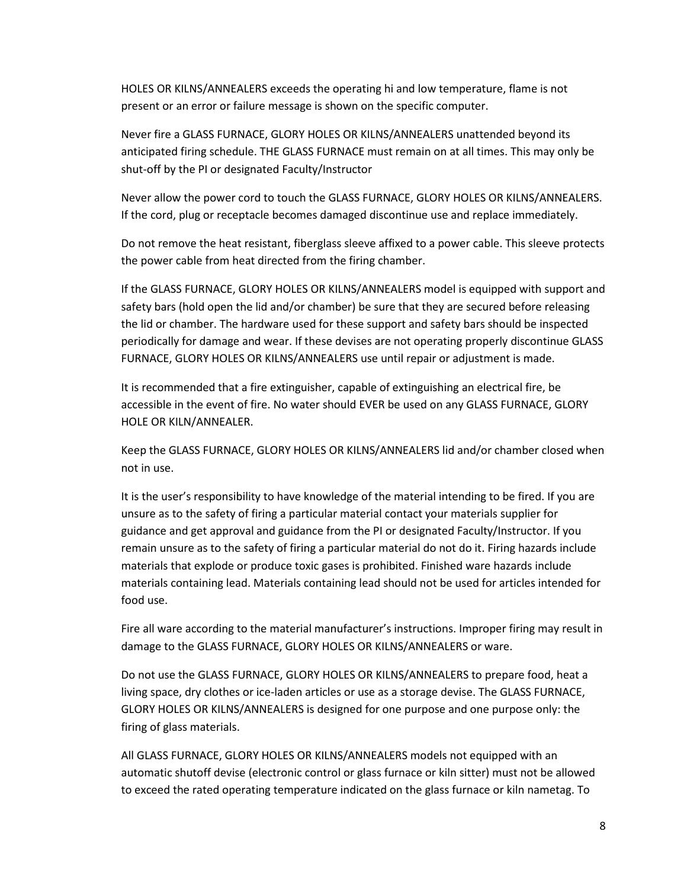HOLES OR KILNS/ANNEALERS exceeds the operating hi and low temperature, flame is not present or an error or failure message is shown on the specific computer.

Never fire a GLASS FURNACE, GLORY HOLES OR KILNS/ANNEALERS unattended beyond its anticipated firing schedule. THE GLASS FURNACE must remain on at all times. This may only be shut-off by the PI or designated Faculty/Instructor

Never allow the power cord to touch the GLASS FURNACE, GLORY HOLES OR KILNS/ANNEALERS. If the cord, plug or receptacle becomes damaged discontinue use and replace immediately.

Do not remove the heat resistant, fiberglass sleeve affixed to a power cable. This sleeve protects the power cable from heat directed from the firing chamber.

If the GLASS FURNACE, GLORY HOLES OR KILNS/ANNEALERS model is equipped with support and safety bars (hold open the lid and/or chamber) be sure that they are secured before releasing the lid or chamber. The hardware used for these support and safety bars should be inspected periodically for damage and wear. If these devises are not operating properly discontinue GLASS FURNACE, GLORY HOLES OR KILNS/ANNEALERS use until repair or adjustment is made.

It is recommended that a fire extinguisher, capable of extinguishing an electrical fire, be accessible in the event of fire. No water should EVER be used on any GLASS FURNACE, GLORY HOLE OR KILN/ANNEALER.

Keep the GLASS FURNACE, GLORY HOLES OR KILNS/ANNEALERS lid and/or chamber closed when not in use.

It is the user's responsibility to have knowledge of the material intending to be fired. If you are unsure as to the safety of firing a particular material contact your materials supplier for guidance and get approval and guidance from the PI or designated Faculty/Instructor. If you remain unsure as to the safety of firing a particular material do not do it. Firing hazards include materials that explode or produce toxic gases is prohibited. Finished ware hazards include materials containing lead. Materials containing lead should not be used for articles intended for food use.

Fire all ware according to the material manufacturer's instructions. Improper firing may result in damage to the GLASS FURNACE, GLORY HOLES OR KILNS/ANNEALERS or ware.

Do not use the GLASS FURNACE, GLORY HOLES OR KILNS/ANNEALERS to prepare food, heat a living space, dry clothes or ice-laden articles or use as a storage devise. The GLASS FURNACE, GLORY HOLES OR KILNS/ANNEALERS is designed for one purpose and one purpose only: the firing of glass materials.

All GLASS FURNACE, GLORY HOLES OR KILNS/ANNEALERS models not equipped with an automatic shutoff devise (electronic control or glass furnace or kiln sitter) must not be allowed to exceed the rated operating temperature indicated on the glass furnace or kiln nametag. To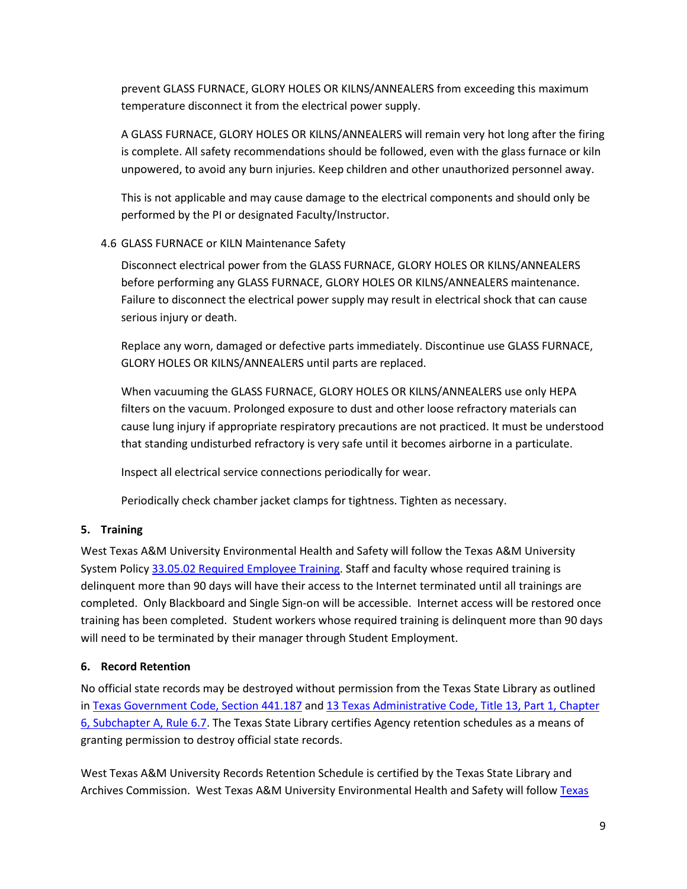prevent GLASS FURNACE, GLORY HOLES OR KILNS/ANNEALERS from exceeding this maximum temperature disconnect it from the electrical power supply.

A GLASS FURNACE, GLORY HOLES OR KILNS/ANNEALERS will remain very hot long after the firing is complete. All safety recommendations should be followed, even with the glass furnace or kiln unpowered, to avoid any burn injuries. Keep children and other unauthorized personnel away.

This is not applicable and may cause damage to the electrical components and should only be performed by the PI or designated Faculty/Instructor.

# <span id="page-8-0"></span>4.6 GLASS FURNACE or KILN Maintenance Safety

Disconnect electrical power from the GLASS FURNACE, GLORY HOLES OR KILNS/ANNEALERS before performing any GLASS FURNACE, GLORY HOLES OR KILNS/ANNEALERS maintenance. Failure to disconnect the electrical power supply may result in electrical shock that can cause serious injury or death.

Replace any worn, damaged or defective parts immediately. Discontinue use GLASS FURNACE, GLORY HOLES OR KILNS/ANNEALERS until parts are replaced.

When vacuuming the GLASS FURNACE, GLORY HOLES OR KILNS/ANNEALERS use only HEPA filters on the vacuum. Prolonged exposure to dust and other loose refractory materials can cause lung injury if appropriate respiratory precautions are not practiced. It must be understood that standing undisturbed refractory is very safe until it becomes airborne in a particulate.

Inspect all electrical service connections periodically for wear.

Periodically check chamber jacket clamps for tightness. Tighten as necessary.

# <span id="page-8-1"></span>**5. Training**

West Texas A&M University Environmental Health and Safety will follow the Texas A&M University System Polic[y 33.05.02 Required Employee Training.](http://policies.tamus.edu/33-05-02.pdf) Staff and faculty whose required training is delinquent more than 90 days will have their access to the Internet terminated until all trainings are completed. Only Blackboard and Single Sign-on will be accessible. Internet access will be restored once training has been completed. Student workers whose required training is delinquent more than 90 days will need to be terminated by their manager through Student Employment.

# <span id="page-8-2"></span>**6. Record Retention**

No official state records may be destroyed without permission from the Texas State Library as outlined in [Texas Government Code, Section 441.187](http://www.statutes.legis.state.tx.us/?link=GV) and [13 Texas Administrative Code, Title 13, Part 1, Chapter](http://info.sos.state.tx.us/pls/pub/readtac$ext.TacPage?sl=R&app=9&p_dir=&p_rloc=&p_tloc=&p_ploc=&pg=1&p_tac=&ti=13&pt=1&ch=6&rl=7U)  [6, Subchapter A, Rule 6.7.](http://info.sos.state.tx.us/pls/pub/readtac$ext.TacPage?sl=R&app=9&p_dir=&p_rloc=&p_tloc=&p_ploc=&pg=1&p_tac=&ti=13&pt=1&ch=6&rl=7U) The Texas State Library certifies Agency retention schedules as a means of granting permission to destroy official state records.

West Texas A&M University Records Retention Schedule is certified by the Texas State Library and Archives Commission. West Texas A&M University Environmental Health and Safety will follow [Texas](http://www.wtamu.edu/webres/File/Risk%20Management/System-Records-Retention-Schedule-Dec2012.pdf)